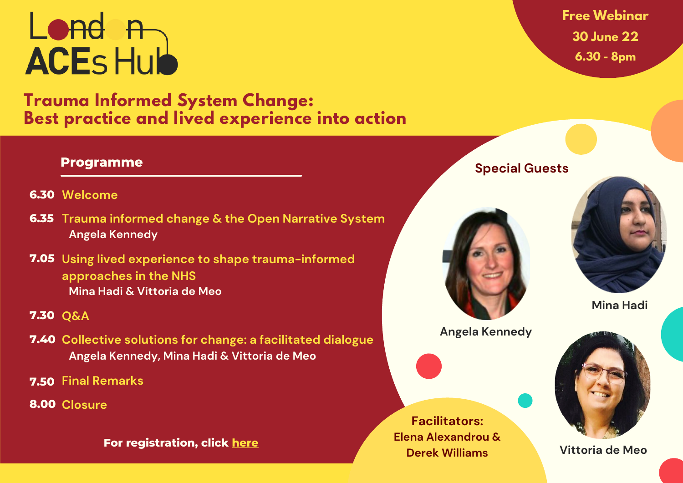# Lond n **ACES Hub**

**Trauma Informed System Change: Best practice and lived experience into action**

## **Programme**

- **6.30 Welcome**
- **6.35 Trauma informed change & the Open Narrative System Angela Kennedy**
- **7.05 Using lived experience to shape trauma-informed approaches in the NHS Mina Hadi & Vittoria de Meo**

### **7.30 Q&A**

- **7.40 Collective solutions for change: a facilitated dialogue Angela Kennedy, Mina Hadi & Vittoria de Meo**
- **7.50 Final Remarks**
- **8.00 Closure**

**For registration, click [here](https://www.eventbrite.co.uk/e/357488075457)**

**Free Webinar 30 June 22 6.30 - 8pm**

#### **Special Guests**



**Angela Kennedy**





**Mina Hadi**



**Vittoria de Meo**